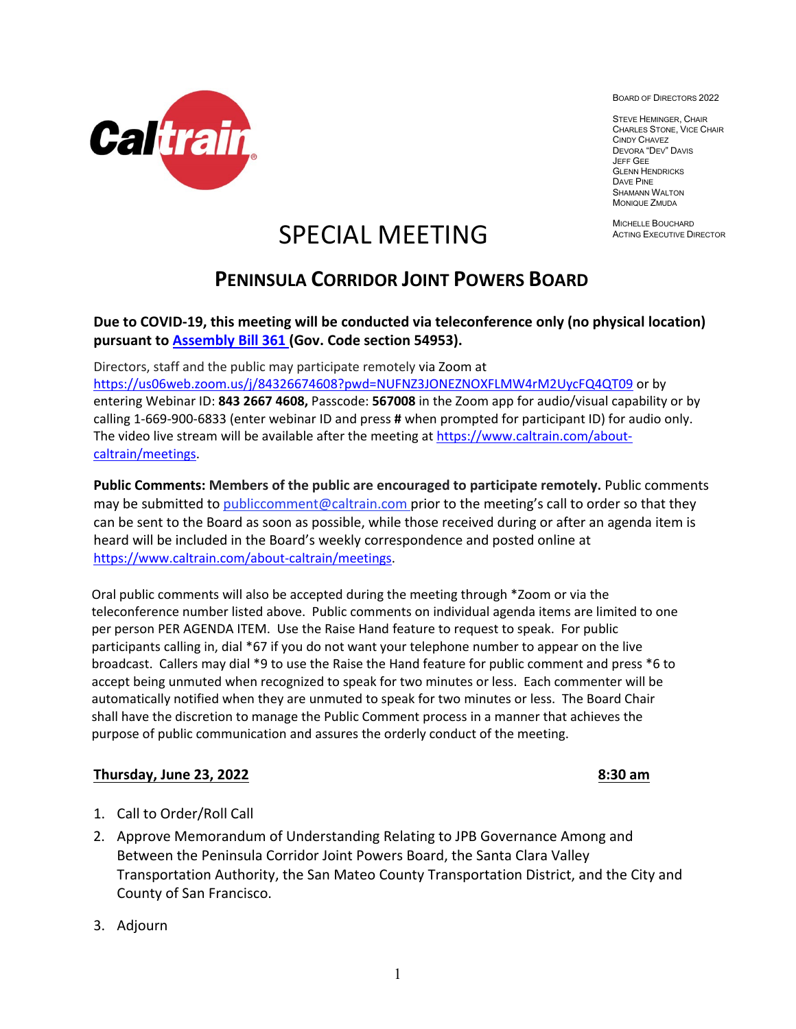

BOARD OF DIRECTORS 2022

STEVE HEMINGER, CHAIR CHARLES STONE, VICE CHAIR CINDY CHAVEZ DEVORA "DEV" DAVIS JEFF GEE **GLENN HENDRICKS** DAVE PINE SHAMANN WALTON MONIQUE ZMUDA

MICHELLE BOUCHARD ACTING EXECUTIVE DIRECTOR

# SPECIAL MEETING

## **PENINSULA CORRIDOR JOINT POWERS BOARD**

#### **Due to COVID‐19, this meeting will be conducted via teleconference only (no physical location) pursuant to [Assembly Bill 361 \(](https://leginfo.legislature.ca.gov/faces/billNavClient.xhtml?bill_id=202120220AB361)Gov. Code section 54953).**

Directors, staff and the public may participate remotely via Zoom at

<https://us06web.zoom.us/j/84326674608?pwd=NUFNZ3JONEZNOXFLMW4rM2UycFQ4QT09> or by entering Webinar ID: **843 2667 4608,** Passcode: **567008** in the Zoom app for audio/visual capability or by calling 1‐669‐900‐6833 (enter webinar ID and press **#** when prompted for participant ID) for audio only. The video live stream will be available after the meeting at [https://www.caltrain.com/about](https://www.caltrain.com/about-caltrain/meetings)[caltrain/meetings.](https://www.caltrain.com/about-caltrain/meetings)

**Public Comments: Members of the public are encouraged to participate remotely.** Public comments may be submitted to [publiccomment@caltrain.com p](mailto:publiccomment@caltrain.com)rior to the meeting's call to order so that they can be sent to the Board as soon as possible, while those received during or after an agenda item is heard will be included in the Board's weekly correspondence and posted online at [https://www.caltrain.com/about-caltrain/meetings.](https://www.caltrain.com/about-caltrain/meetings)

Oral public comments will also be accepted during the meeting through \*Zoom or via the teleconference number listed above. Public comments on individual agenda items are limited to one per person PER AGENDA ITEM. Use the Raise Hand feature to request to speak. For public participants calling in, dial \*67 if you do not want your telephone number to appear on the live broadcast. Callers may dial \*9 to use the Raise the Hand feature for public comment and press \*6 to accept being unmuted when recognized to speak for two minutes or less. Each commenter will be automatically notified when they are unmuted to speak for two minutes or less. The Board Chair shall have the discretion to manage the Public Comment process in a manner that achieves the purpose of public communication and assures the orderly conduct of the meeting.

### **Thursday, June 23, 2022 8:30 am**

- 1. Call to Order/Roll Call
- 2. Approve Memorandum of Understanding Relating to JPB Governance Among and Between the Peninsula Corridor Joint Powers Board, the Santa Clara Valley Transportation Authority, the San Mateo County Transportation District, and the City and County of San Francisco.
- 3. Adjourn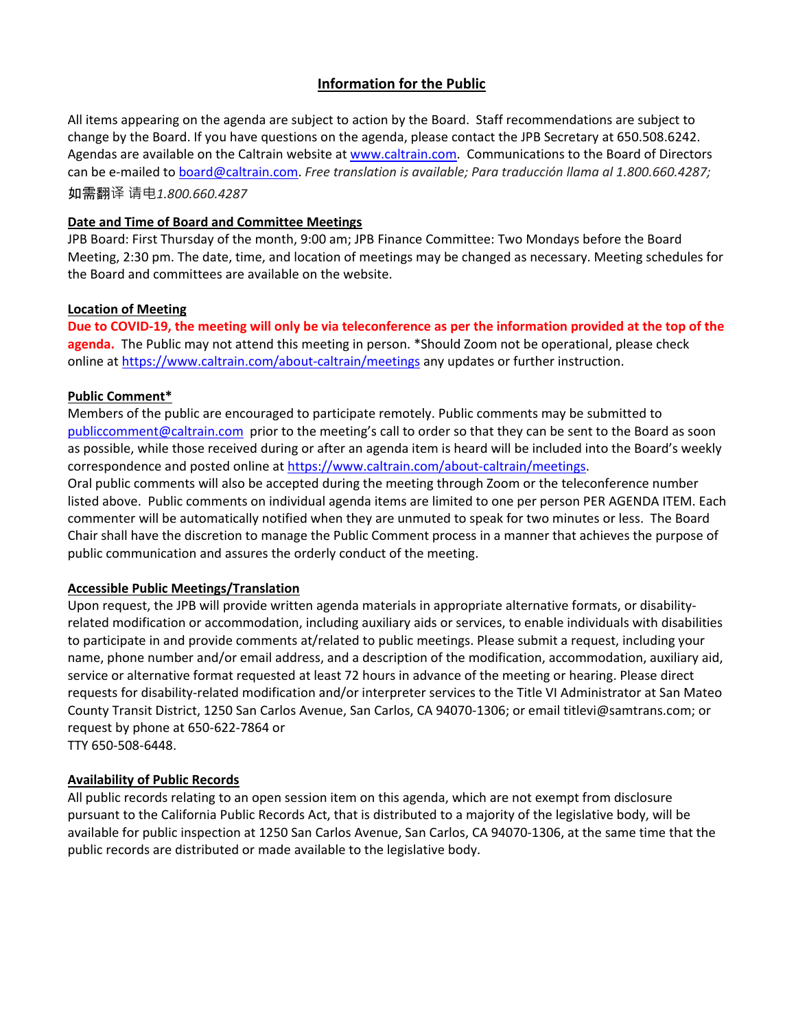#### **Information for the Public**

All items appearing on the agenda are subject to action by the Board. Staff recommendations are subject to change by the Board. If you have questions on the agenda, please contact the JPB Secretary at 650.508.6242. Agendas are available on the Caltrain website at www.caltrain.com. Communications to the Board of Directors can be e-mailed t[o board@caltrain.com.](mailto:board@caltrain.com) *Free translation is available; Para traducción llama al 1.800.660.4287;*  如需翻译 请电*1.800.660.4287*

#### **Date and Time of Board and Committee Meetings**

JPB Board: First Thursday of the month, 9:00 am; JPB Finance Committee: Two Mondays before the Board Meeting, 2:30 pm. The date, time, and location of meetings may be changed as necessary. Meeting schedules for the Board and committees are available on the website.

#### **Location of Meeting**

**Due to COVID-19, the meeting will only be via teleconference as per the information provided at the top of the agenda.** The Public may not attend this meeting in person. \*Should Zoom not be operational, please check online at<https://www.caltrain.com/about-caltrain/meetings> any updates or further instruction.

#### **Public Comment\***

Members of the public are encouraged to participate remotely. Public comments may be submitted to [publiccomment@caltrain.com](mailto:publiccomment@caltrain.com) prior to the meeting's call to order so that they can be sent to the Board as soon as possible, while those received during or after an agenda item is heard will be included into the Board's weekly correspondence and posted online at [https://www.caltrain.com/about-caltrain/meetings.](https://www.caltrain.com/about-caltrain/meetings) Oral public comments will also be accepted during the meeting through Zoom or the teleconference number listed above. Public comments on individual agenda items are limited to one per person PER AGENDA ITEM. Each commenter will be automatically notified when they are unmuted to speak for two minutes or less. The Board Chair shall have the discretion to manage the Public Comment process in a manner that achieves the purpose of public communication and assures the orderly conduct of the meeting.

#### **Accessible Public Meetings/Translation**

Upon request, the JPB will provide written agenda materials in appropriate alternative formats, or disabilityrelated modification or accommodation, including auxiliary aids or services, to enable individuals with disabilities to participate in and provide comments at/related to public meetings. Please submit a request, including your name, phone number and/or email address, and a description of the modification, accommodation, auxiliary aid, service or alternative format requested at least 72 hours in advance of the meeting or hearing. Please direct requests for disability-related modification and/or interpreter services to the Title VI Administrator at San Mateo County Transit District, 1250 San Carlos Avenue, San Carlos, CA 94070-1306; or emai[l titlevi@samtrans.com;](mailto:titlevi@samtrans.com) or request by phone at 650-622-7864 or

TTY 650-508-6448.

#### **Availability of Public Records**

All public records relating to an open session item on this agenda, which are not exempt from disclosure pursuant to the California Public Records Act, that is distributed to a majority of the legislative body, will be available for public inspection at 1250 San Carlos Avenue, San Carlos, CA 94070-1306, at the same time that the public records are distributed or made available to the legislative body.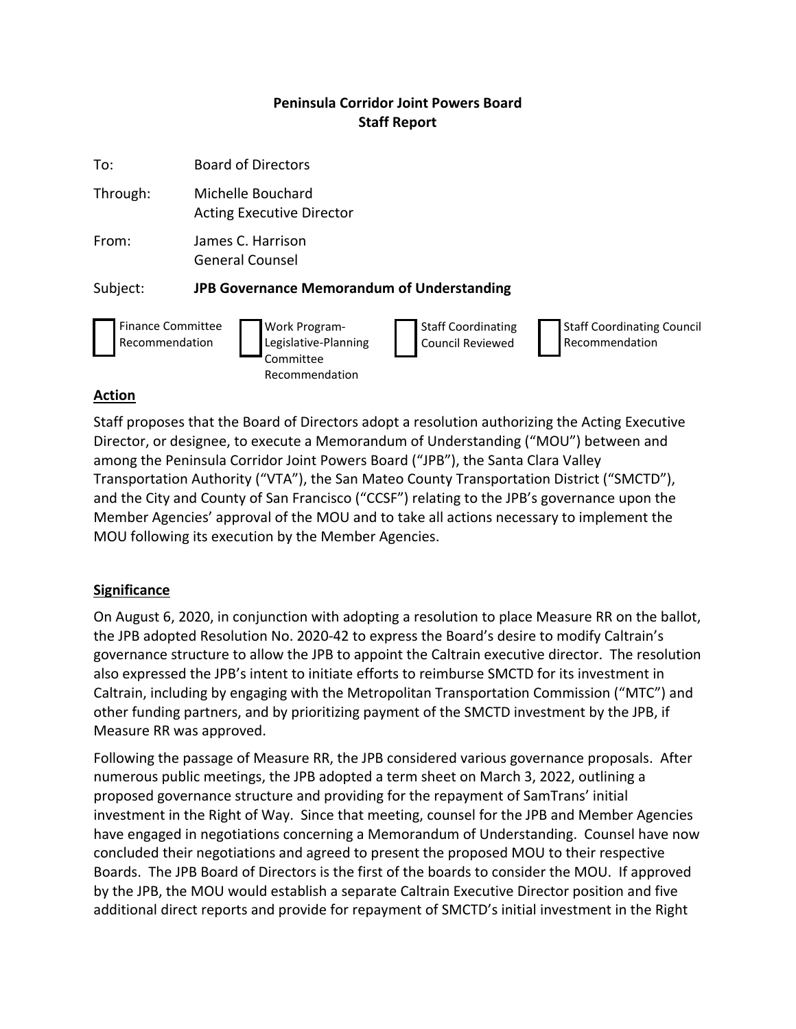### **Peninsula Corridor Joint Powers Board Staff Report**

| To:                                        | <b>Board of Directors</b>                                                                                                                                                                  |
|--------------------------------------------|--------------------------------------------------------------------------------------------------------------------------------------------------------------------------------------------|
| Through:                                   | Michelle Bouchard<br><b>Acting Executive Director</b>                                                                                                                                      |
| From:                                      | James C. Harrison<br><b>General Counsel</b>                                                                                                                                                |
| Subject:                                   | <b>JPB Governance Memorandum of Understanding</b>                                                                                                                                          |
| <b>Finance Committee</b><br>Recommendation | <b>Staff Coordinating Council</b><br><b>Work Program-</b><br><b>Staff Coordinating</b><br>Legislative-Planning<br><b>Council Reviewed</b><br>Recommendation<br>Committee<br>Recommendation |

#### **Action**

Staff proposes that the Board of Directors adopt a resolution authorizing the Acting Executive Director, or designee, to execute a Memorandum of Understanding ("MOU") between and among the Peninsula Corridor Joint Powers Board ("JPB"), the Santa Clara Valley Transportation Authority ("VTA"), the San Mateo County Transportation District ("SMCTD"), and the City and County of San Francisco ("CCSF") relating to the JPB's governance upon the Member Agencies' approval of the MOU and to take all actions necessary to implement the MOU following its execution by the Member Agencies.

#### **Significance**

On August 6, 2020, in conjunction with adopting a resolution to place Measure RR on the ballot, the JPB adopted Resolution No. 2020-42 to express the Board's desire to modify Caltrain's governance structure to allow the JPB to appoint the Caltrain executive director. The resolution also expressed the JPB's intent to initiate efforts to reimburse SMCTD for its investment in Caltrain, including by engaging with the Metropolitan Transportation Commission ("MTC") and other funding partners, and by prioritizing payment of the SMCTD investment by the JPB, if Measure RR was approved.

Following the passage of Measure RR, the JPB considered various governance proposals. After numerous public meetings, the JPB adopted a term sheet on March 3, 2022, outlining a proposed governance structure and providing for the repayment of SamTrans' initial investment in the Right of Way. Since that meeting, counsel for the JPB and Member Agencies have engaged in negotiations concerning a Memorandum of Understanding. Counsel have now concluded their negotiations and agreed to present the proposed MOU to their respective Boards. The JPB Board of Directors is the first of the boards to consider the MOU. If approved by the JPB, the MOU would establish a separate Caltrain Executive Director position and five additional direct reports and provide for repayment of SMCTD's initial investment in the Right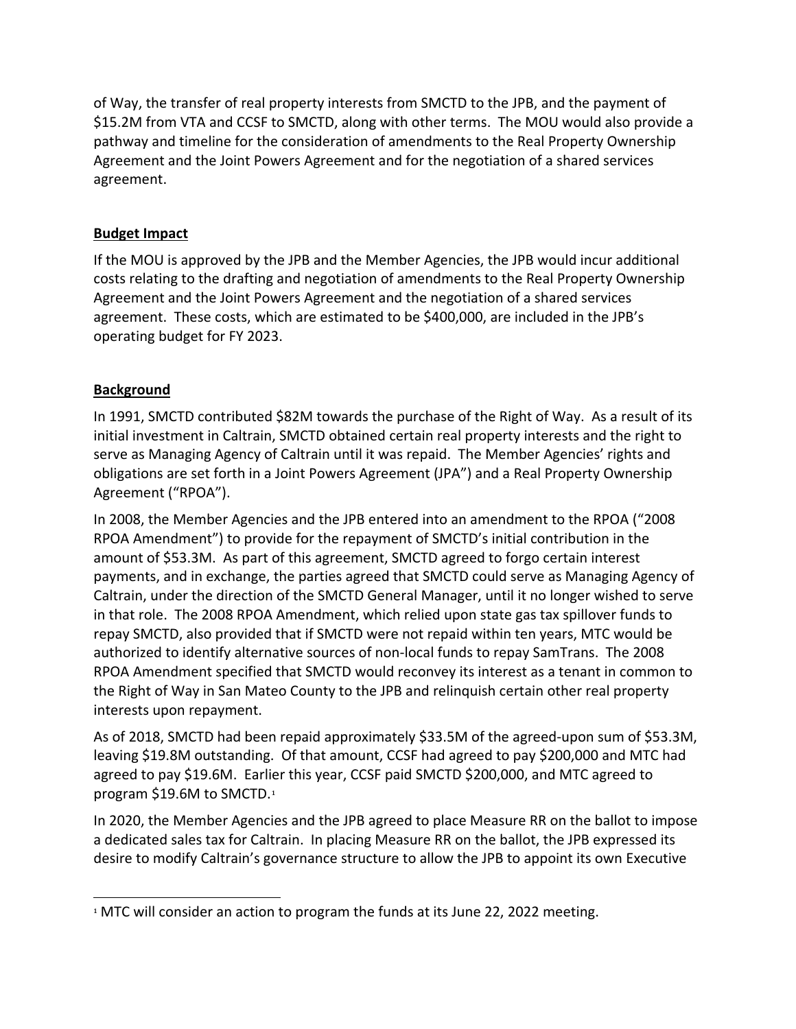of Way, the transfer of real property interests from SMCTD to the JPB, and the payment of \$15.2M from VTA and CCSF to SMCTD, along with other terms. The MOU would also provide a pathway and timeline for the consideration of amendments to the Real Property Ownership Agreement and the Joint Powers Agreement and for the negotiation of a shared services agreement.

#### **Budget Impact**

If the MOU is approved by the JPB and the Member Agencies, the JPB would incur additional costs relating to the drafting and negotiation of amendments to the Real Property Ownership Agreement and the Joint Powers Agreement and the negotiation of a shared services agreement. These costs, which are estimated to be \$400,000, are included in the JPB's operating budget for FY 2023.

### **Background**

In 1991, SMCTD contributed \$82M towards the purchase of the Right of Way. As a result of its initial investment in Caltrain, SMCTD obtained certain real property interests and the right to serve as Managing Agency of Caltrain until it was repaid. The Member Agencies' rights and obligations are set forth in a Joint Powers Agreement (JPA") and a Real Property Ownership Agreement ("RPOA").

In 2008, the Member Agencies and the JPB entered into an amendment to the RPOA ("2008 RPOA Amendment") to provide for the repayment of SMCTD's initial contribution in the amount of \$53.3M. As part of this agreement, SMCTD agreed to forgo certain interest payments, and in exchange, the parties agreed that SMCTD could serve as Managing Agency of Caltrain, under the direction of the SMCTD General Manager, until it no longer wished to serve in that role. The 2008 RPOA Amendment, which relied upon state gas tax spillover funds to repay SMCTD, also provided that if SMCTD were not repaid within ten years, MTC would be authorized to identify alternative sources of non-local funds to repay SamTrans. The 2008 RPOA Amendment specified that SMCTD would reconvey its interest as a tenant in common to the Right of Way in San Mateo County to the JPB and relinquish certain other real property interests upon repayment.

As of 2018, SMCTD had been repaid approximately \$33.5M of the agreed-upon sum of \$53.3M, leaving \$19.8M outstanding. Of that amount, CCSF had agreed to pay \$200,000 and MTC had agreed to pay \$19.6M. Earlier this year, CCSF paid SMCTD \$200,000, and MTC agreed to program \$19.6M to SMCTD.[1](#page-3-0)

In 2020, the Member Agencies and the JPB agreed to place Measure RR on the ballot to impose a dedicated sales tax for Caltrain. In placing Measure RR on the ballot, the JPB expressed its desire to modify Caltrain's governance structure to allow the JPB to appoint its own Executive

<span id="page-3-0"></span> $\overline{a}$  $1$  MTC will consider an action to program the funds at its June 22, 2022 meeting.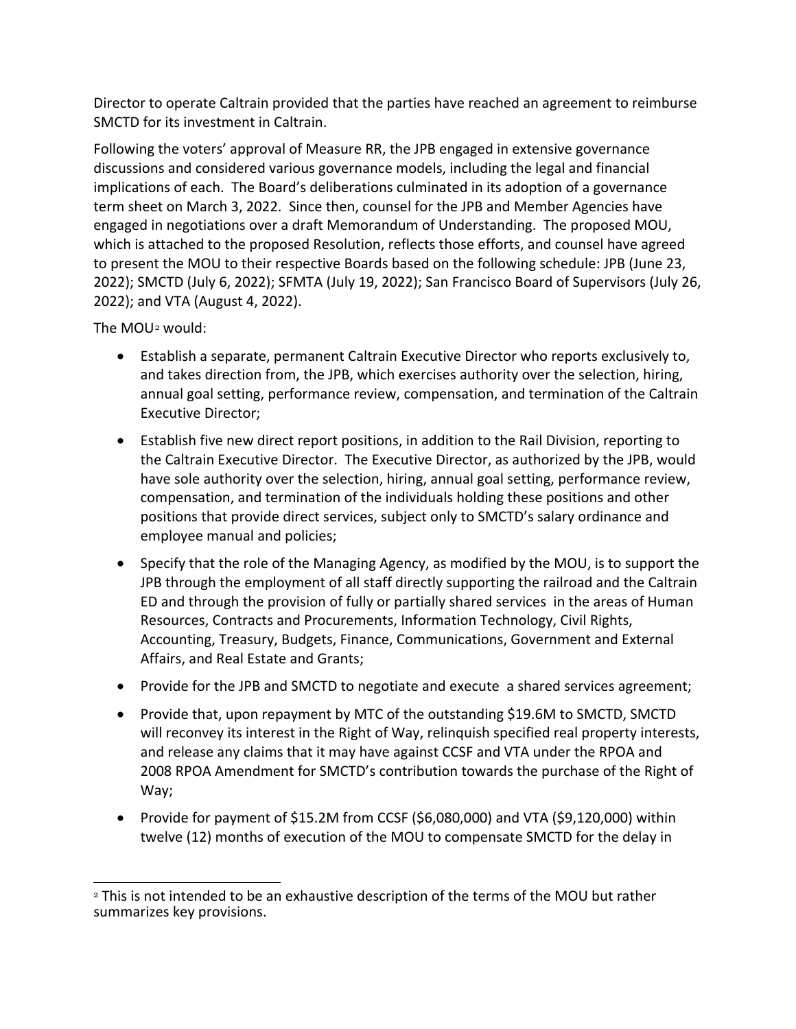Director to operate Caltrain provided that the parties have reached an agreement to reimburse SMCTD for its investment in Caltrain.

Following the voters' approval of Measure RR, the JPB engaged in extensive governance discussions and considered various governance models, including the legal and financial implications of each. The Board's deliberations culminated in its adoption of a governance term sheet on March 3, 2022. Since then, counsel for the JPB and Member Agencies have engaged in negotiations over a draft Memorandum of Understanding. The proposed MOU, which is attached to the proposed Resolution, reflects those efforts, and counsel have agreed to present the MOU to their respective Boards based on the following schedule: JPB (June 23, 2022); SMCTD (July 6, 2022); SFMTA (July 19, 2022); San Francisco Board of Supervisors (July 26, 2022); and VTA (August 4, 2022).

The MOU[2](#page-4-0) would:

- Establish a separate, permanent Caltrain Executive Director who reports exclusively to, and takes direction from, the JPB, which exercises authority over the selection, hiring, annual goal setting, performance review, compensation, and termination of the Caltrain Executive Director;
- Establish five new direct report positions, in addition to the Rail Division, reporting to the Caltrain Executive Director. The Executive Director, as authorized by the JPB, would have sole authority over the selection, hiring, annual goal setting, performance review, compensation, and termination of the individuals holding these positions and other positions that provide direct services, subject only to SMCTD's salary ordinance and employee manual and policies;
- Specify that the role of the Managing Agency, as modified by the MOU, is to support the JPB through the employment of all staff directly supporting the railroad and the Caltrain ED and through the provision of fully or partially shared services in the areas of Human Resources, Contracts and Procurements, Information Technology, Civil Rights, Accounting, Treasury, Budgets, Finance, Communications, Government and External Affairs, and Real Estate and Grants;
- Provide for the JPB and SMCTD to negotiate and execute a shared services agreement;
- Provide that, upon repayment by MTC of the outstanding \$19.6M to SMCTD, SMCTD will reconvey its interest in the Right of Way, relinquish specified real property interests, and release any claims that it may have against CCSF and VTA under the RPOA and 2008 RPOA Amendment for SMCTD's contribution towards the purchase of the Right of Way;
- Provide for payment of \$15.2M from CCSF (\$6,080,000) and VTA (\$9,120,000) within twelve (12) months of execution of the MOU to compensate SMCTD for the delay in

<span id="page-4-0"></span> $\overline{a}$ <sup>2</sup> This is not intended to be an exhaustive description of the terms of the MOU but rather summarizes key provisions.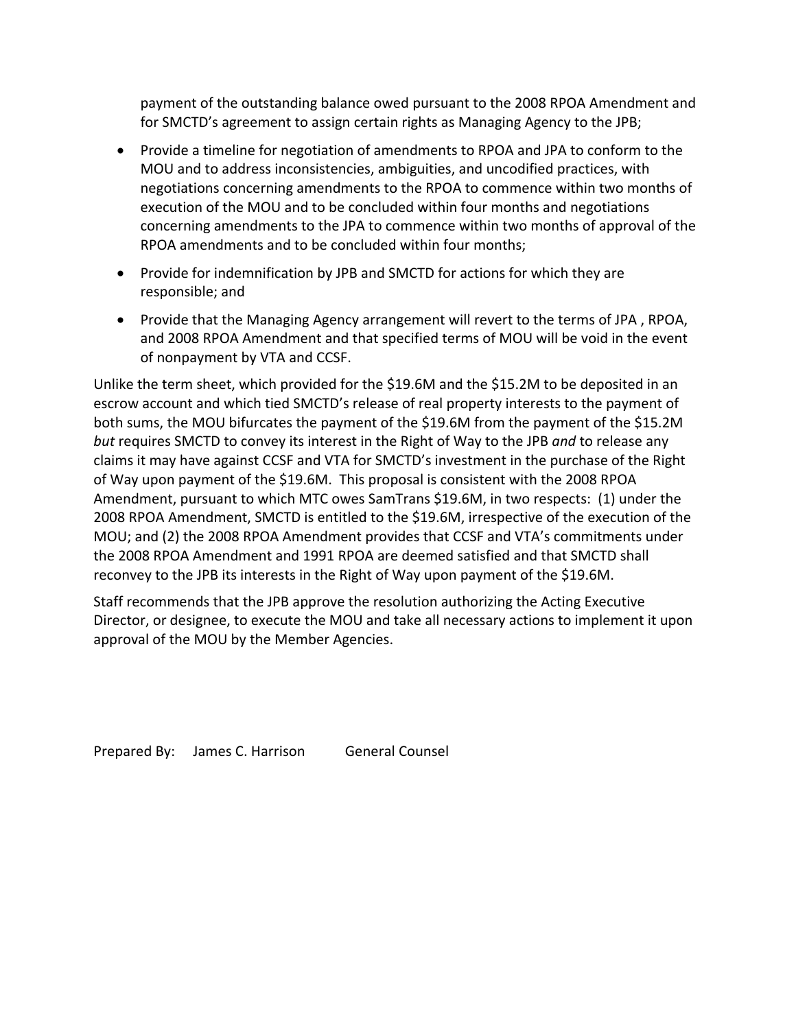payment of the outstanding balance owed pursuant to the 2008 RPOA Amendment and for SMCTD's agreement to assign certain rights as Managing Agency to the JPB;

- Provide a timeline for negotiation of amendments to RPOA and JPA to conform to the MOU and to address inconsistencies, ambiguities, and uncodified practices, with negotiations concerning amendments to the RPOA to commence within two months of execution of the MOU and to be concluded within four months and negotiations concerning amendments to the JPA to commence within two months of approval of the RPOA amendments and to be concluded within four months;
- Provide for indemnification by JPB and SMCTD for actions for which they are responsible; and
- Provide that the Managing Agency arrangement will revert to the terms of JPA , RPOA, and 2008 RPOA Amendment and that specified terms of MOU will be void in the event of nonpayment by VTA and CCSF.

Unlike the term sheet, which provided for the \$19.6M and the \$15.2M to be deposited in an escrow account and which tied SMCTD's release of real property interests to the payment of both sums, the MOU bifurcates the payment of the \$19.6M from the payment of the \$15.2M *but* requires SMCTD to convey its interest in the Right of Way to the JPB *and* to release any claims it may have against CCSF and VTA for SMCTD's investment in the purchase of the Right of Way upon payment of the \$19.6M. This proposal is consistent with the 2008 RPOA Amendment, pursuant to which MTC owes SamTrans \$19.6M, in two respects: (1) under the 2008 RPOA Amendment, SMCTD is entitled to the \$19.6M, irrespective of the execution of the MOU; and (2) the 2008 RPOA Amendment provides that CCSF and VTA's commitments under the 2008 RPOA Amendment and 1991 RPOA are deemed satisfied and that SMCTD shall reconvey to the JPB its interests in the Right of Way upon payment of the \$19.6M.

Staff recommends that the JPB approve the resolution authorizing the Acting Executive Director, or designee, to execute the MOU and take all necessary actions to implement it upon approval of the MOU by the Member Agencies.

Prepared By: James C. Harrison General Counsel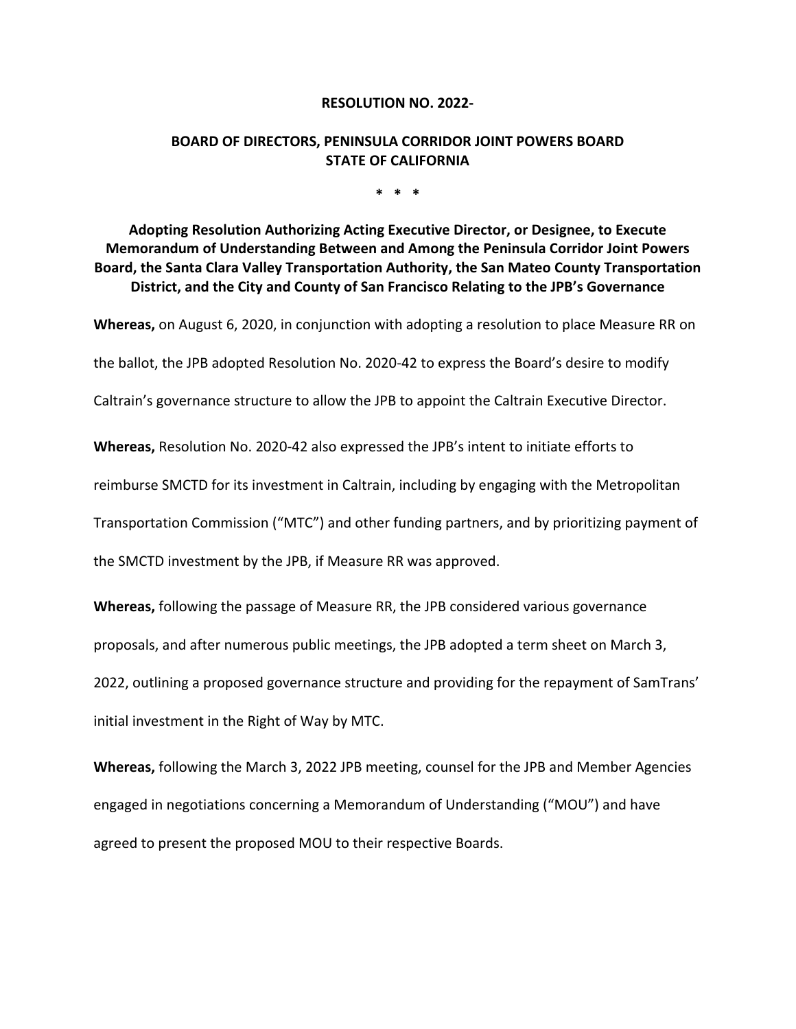#### **RESOLUTION NO. 2022-**

#### **BOARD OF DIRECTORS, PENINSULA CORRIDOR JOINT POWERS BOARD STATE OF CALIFORNIA**

**\* \* \***

**Adopting Resolution Authorizing Acting Executive Director, or Designee, to Execute Memorandum of Understanding Between and Among the Peninsula Corridor Joint Powers Board, the Santa Clara Valley Transportation Authority, the San Mateo County Transportation District, and the City and County of San Francisco Relating to the JPB's Governance**

**Whereas,** on August 6, 2020, in conjunction with adopting a resolution to place Measure RR on

the ballot, the JPB adopted Resolution No. 2020-42 to express the Board's desire to modify

Caltrain's governance structure to allow the JPB to appoint the Caltrain Executive Director.

**Whereas,** Resolution No. 2020-42 also expressed the JPB's intent to initiate efforts to

reimburse SMCTD for its investment in Caltrain, including by engaging with the Metropolitan

Transportation Commission ("MTC") and other funding partners, and by prioritizing payment of

the SMCTD investment by the JPB, if Measure RR was approved.

**Whereas,** following the passage of Measure RR, the JPB considered various governance proposals, and after numerous public meetings, the JPB adopted a term sheet on March 3, 2022, outlining a proposed governance structure and providing for the repayment of SamTrans'

initial investment in the Right of Way by MTC.

**Whereas,** following the March 3, 2022 JPB meeting, counsel for the JPB and Member Agencies engaged in negotiations concerning a Memorandum of Understanding ("MOU") and have agreed to present the proposed MOU to their respective Boards.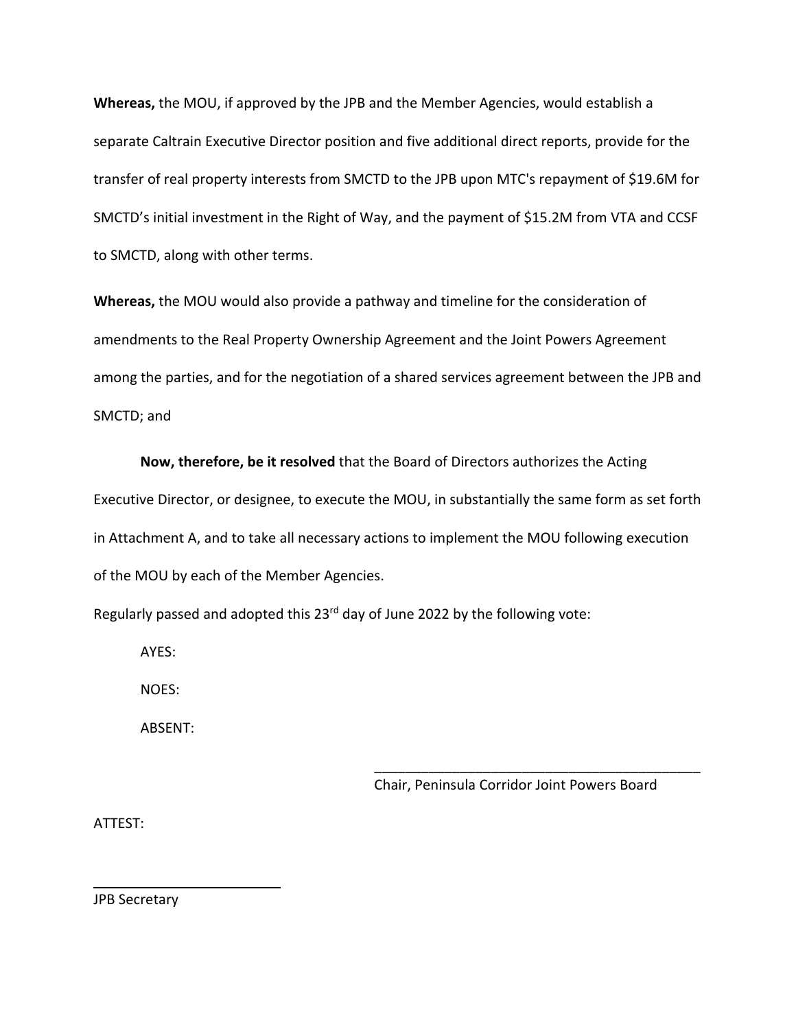**Whereas,** the MOU, if approved by the JPB and the Member Agencies, would establish a separate Caltrain Executive Director position and five additional direct reports, provide for the transfer of real property interests from SMCTD to the JPB upon MTC's repayment of \$19.6M for SMCTD's initial investment in the Right of Way, and the payment of \$15.2M from VTA and CCSF to SMCTD, along with other terms.

**Whereas,** the MOU would also provide a pathway and timeline for the consideration of amendments to the Real Property Ownership Agreement and the Joint Powers Agreement among the parties, and for the negotiation of a shared services agreement between the JPB and SMCTD; and

**Now, therefore, be it resolved** that the Board of Directors authorizes the Acting Executive Director, or designee, to execute the MOU, in substantially the same form as set forth in Attachment A, and to take all necessary actions to implement the MOU following execution of the MOU by each of the Member Agencies.

Regularly passed and adopted this  $23^{rd}$  day of June 2022 by the following vote:

AYES:

NOES:

ABSENT:

Chair, Peninsula Corridor Joint Powers Board

\_\_\_\_\_\_\_\_\_\_\_\_\_\_\_\_\_\_\_\_\_\_\_\_\_\_\_\_\_\_\_\_\_\_\_\_\_\_\_\_\_\_

ATTEST:

JPB Secretary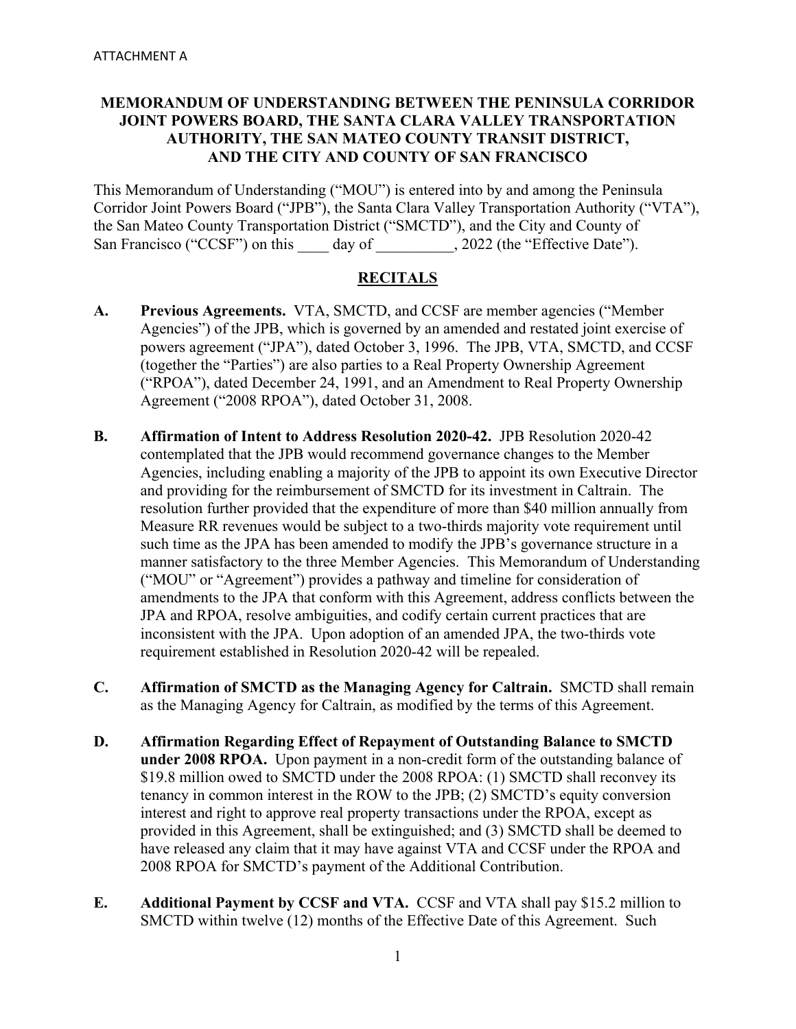#### **MEMORANDUM OF UNDERSTANDING BETWEEN THE PENINSULA CORRIDOR JOINT POWERS BOARD, THE SANTA CLARA VALLEY TRANSPORTATION AUTHORITY, THE SAN MATEO COUNTY TRANSIT DISTRICT, AND THE CITY AND COUNTY OF SAN FRANCISCO**

This Memorandum of Understanding ("MOU") is entered into by and among the Peninsula Corridor Joint Powers Board ("JPB"), the Santa Clara Valley Transportation Authority ("VTA"), the San Mateo County Transportation District ("SMCTD"), and the City and County of San Francisco ("CCSF") on this day of , 2022 (the "Effective Date").

#### **RECITALS**

- **A. Previous Agreements.** VTA, SMCTD, and CCSF are member agencies ("Member Agencies") of the JPB, which is governed by an amended and restated joint exercise of powers agreement ("JPA"), dated October 3, 1996. The JPB, VTA, SMCTD, and CCSF (together the "Parties") are also parties to a Real Property Ownership Agreement ("RPOA"), dated December 24, 1991, and an Amendment to Real Property Ownership Agreement ("2008 RPOA"), dated October 31, 2008.
- **B. Affirmation of Intent to Address Resolution 2020-42.** JPB Resolution 2020-42 contemplated that the JPB would recommend governance changes to the Member Agencies, including enabling a majority of the JPB to appoint its own Executive Director and providing for the reimbursement of SMCTD for its investment in Caltrain. The resolution further provided that the expenditure of more than \$40 million annually from Measure RR revenues would be subject to a two-thirds majority vote requirement until such time as the JPA has been amended to modify the JPB's governance structure in a manner satisfactory to the three Member Agencies. This Memorandum of Understanding ("MOU" or "Agreement") provides a pathway and timeline for consideration of amendments to the JPA that conform with this Agreement, address conflicts between the JPA and RPOA, resolve ambiguities, and codify certain current practices that are inconsistent with the JPA. Upon adoption of an amended JPA, the two-thirds vote requirement established in Resolution 2020-42 will be repealed.
- **C. Affirmation of SMCTD as the Managing Agency for Caltrain.** SMCTD shall remain as the Managing Agency for Caltrain, as modified by the terms of this Agreement.
- **D. Affirmation Regarding Effect of Repayment of Outstanding Balance to SMCTD under 2008 RPOA.** Upon payment in a non-credit form of the outstanding balance of \$19.8 million owed to SMCTD under the 2008 RPOA: (1) SMCTD shall reconvey its tenancy in common interest in the ROW to the JPB; (2) SMCTD's equity conversion interest and right to approve real property transactions under the RPOA, except as provided in this Agreement, shall be extinguished; and (3) SMCTD shall be deemed to have released any claim that it may have against VTA and CCSF under the RPOA and 2008 RPOA for SMCTD's payment of the Additional Contribution.
- **E. Additional Payment by CCSF and VTA.** CCSF and VTA shall pay \$15.2 million to SMCTD within twelve (12) months of the Effective Date of this Agreement. Such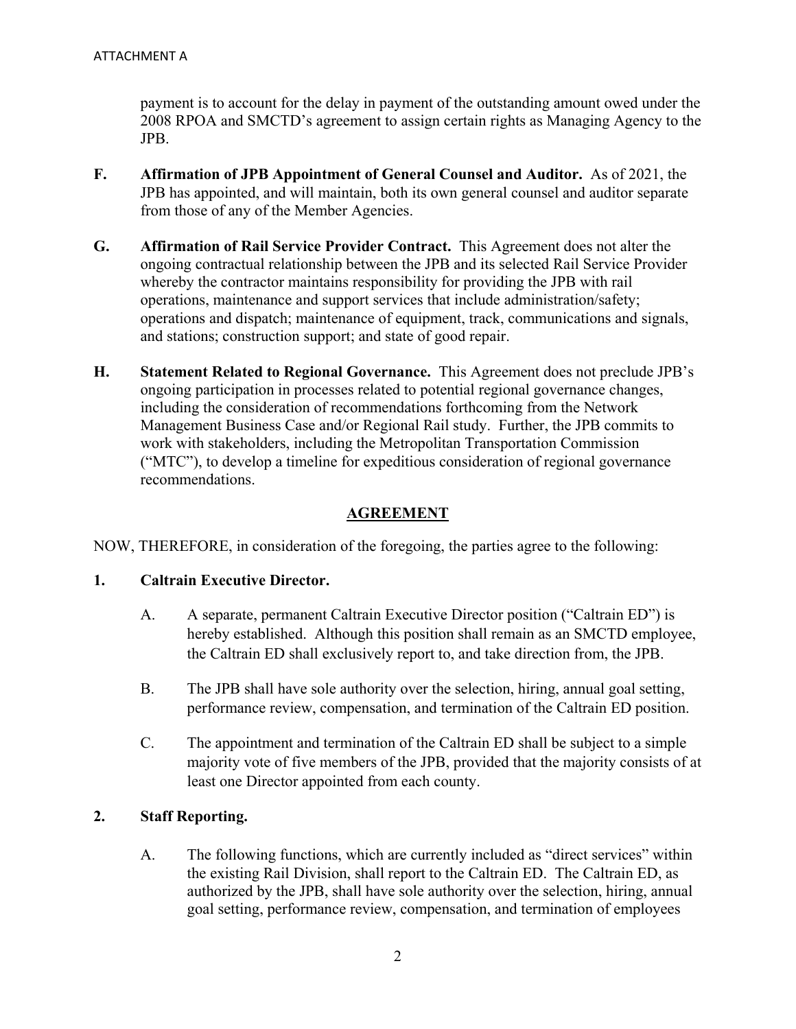payment is to account for the delay in payment of the outstanding amount owed under the 2008 RPOA and SMCTD's agreement to assign certain rights as Managing Agency to the JPB.

- **F. Affirmation of JPB Appointment of General Counsel and Auditor.** As of 2021, the JPB has appointed, and will maintain, both its own general counsel and auditor separate from those of any of the Member Agencies.
- **G. Affirmation of Rail Service Provider Contract.** This Agreement does not alter the ongoing contractual relationship between the JPB and its selected Rail Service Provider whereby the contractor maintains responsibility for providing the JPB with rail operations, maintenance and support services that include administration/safety; operations and dispatch; maintenance of equipment, track, communications and signals, and stations; construction support; and state of good repair.
- **H. Statement Related to Regional Governance.** This Agreement does not preclude JPB's ongoing participation in processes related to potential regional governance changes, including the consideration of recommendations forthcoming from the Network Management Business Case and/or Regional Rail study. Further, the JPB commits to work with stakeholders, including the Metropolitan Transportation Commission ("MTC"), to develop a timeline for expeditious consideration of regional governance recommendations.

#### **AGREEMENT**

NOW, THEREFORE, in consideration of the foregoing, the parties agree to the following:

#### **1. Caltrain Executive Director.**

- A. A separate, permanent Caltrain Executive Director position ("Caltrain ED") is hereby established. Although this position shall remain as an SMCTD employee, the Caltrain ED shall exclusively report to, and take direction from, the JPB.
- B. The JPB shall have sole authority over the selection, hiring, annual goal setting, performance review, compensation, and termination of the Caltrain ED position.
- C. The appointment and termination of the Caltrain ED shall be subject to a simple majority vote of five members of the JPB, provided that the majority consists of at least one Director appointed from each county.

#### **2. Staff Reporting.**

A. The following functions, which are currently included as "direct services" within the existing Rail Division, shall report to the Caltrain ED. The Caltrain ED, as authorized by the JPB, shall have sole authority over the selection, hiring, annual goal setting, performance review, compensation, and termination of employees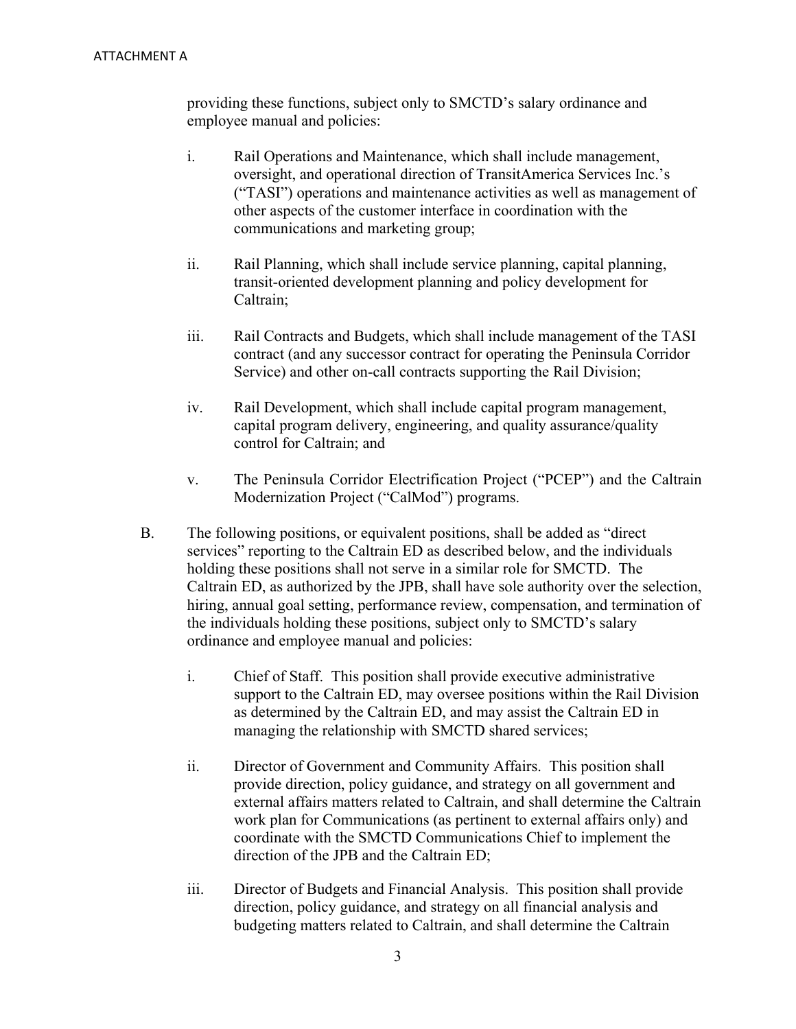providing these functions, subject only to SMCTD's salary ordinance and employee manual and policies:

- i. Rail Operations and Maintenance, which shall include management, oversight, and operational direction of TransitAmerica Services Inc.'s ("TASI") operations and maintenance activities as well as management of other aspects of the customer interface in coordination with the communications and marketing group;
- ii. Rail Planning, which shall include service planning, capital planning, transit-oriented development planning and policy development for Caltrain;
- iii. Rail Contracts and Budgets, which shall include management of the TASI contract (and any successor contract for operating the Peninsula Corridor Service) and other on-call contracts supporting the Rail Division;
- iv. Rail Development, which shall include capital program management, capital program delivery, engineering, and quality assurance/quality control for Caltrain; and
- v. The Peninsula Corridor Electrification Project ("PCEP") and the Caltrain Modernization Project ("CalMod") programs.
- B. The following positions, or equivalent positions, shall be added as "direct services" reporting to the Caltrain ED as described below, and the individuals holding these positions shall not serve in a similar role for SMCTD. The Caltrain ED, as authorized by the JPB, shall have sole authority over the selection, hiring, annual goal setting, performance review, compensation, and termination of the individuals holding these positions, subject only to SMCTD's salary ordinance and employee manual and policies:
	- i. Chief of Staff. This position shall provide executive administrative support to the Caltrain ED, may oversee positions within the Rail Division as determined by the Caltrain ED, and may assist the Caltrain ED in managing the relationship with SMCTD shared services;
	- ii. Director of Government and Community Affairs. This position shall provide direction, policy guidance, and strategy on all government and external affairs matters related to Caltrain, and shall determine the Caltrain work plan for Communications (as pertinent to external affairs only) and coordinate with the SMCTD Communications Chief to implement the direction of the JPB and the Caltrain ED;
	- iii. Director of Budgets and Financial Analysis. This position shall provide direction, policy guidance, and strategy on all financial analysis and budgeting matters related to Caltrain, and shall determine the Caltrain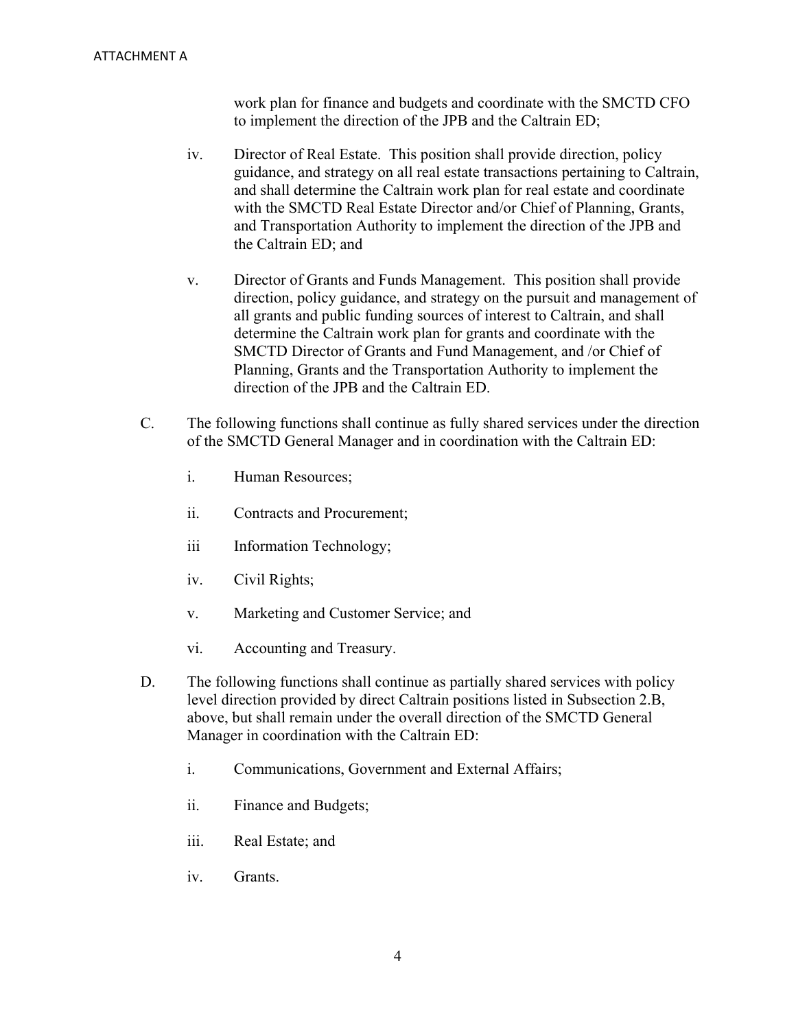work plan for finance and budgets and coordinate with the SMCTD CFO to implement the direction of the JPB and the Caltrain ED;

- iv. Director of Real Estate. This position shall provide direction, policy guidance, and strategy on all real estate transactions pertaining to Caltrain, and shall determine the Caltrain work plan for real estate and coordinate with the SMCTD Real Estate Director and/or Chief of Planning, Grants, and Transportation Authority to implement the direction of the JPB and the Caltrain ED; and
- v. Director of Grants and Funds Management. This position shall provide direction, policy guidance, and strategy on the pursuit and management of all grants and public funding sources of interest to Caltrain, and shall determine the Caltrain work plan for grants and coordinate with the SMCTD Director of Grants and Fund Management, and /or Chief of Planning, Grants and the Transportation Authority to implement the direction of the JPB and the Caltrain ED.
- C. The following functions shall continue as fully shared services under the direction of the SMCTD General Manager and in coordination with the Caltrain ED:
	- i. Human Resources;
	- ii. Contracts and Procurement;
	- iii Information Technology;
	- iv. Civil Rights;
	- v. Marketing and Customer Service; and
	- vi. Accounting and Treasury.
- D. The following functions shall continue as partially shared services with policy level direction provided by direct Caltrain positions listed in Subsection 2.B, above, but shall remain under the overall direction of the SMCTD General Manager in coordination with the Caltrain ED:
	- i. Communications, Government and External Affairs;
	- ii. Finance and Budgets;
	- iii. Real Estate; and
	- iv. Grants.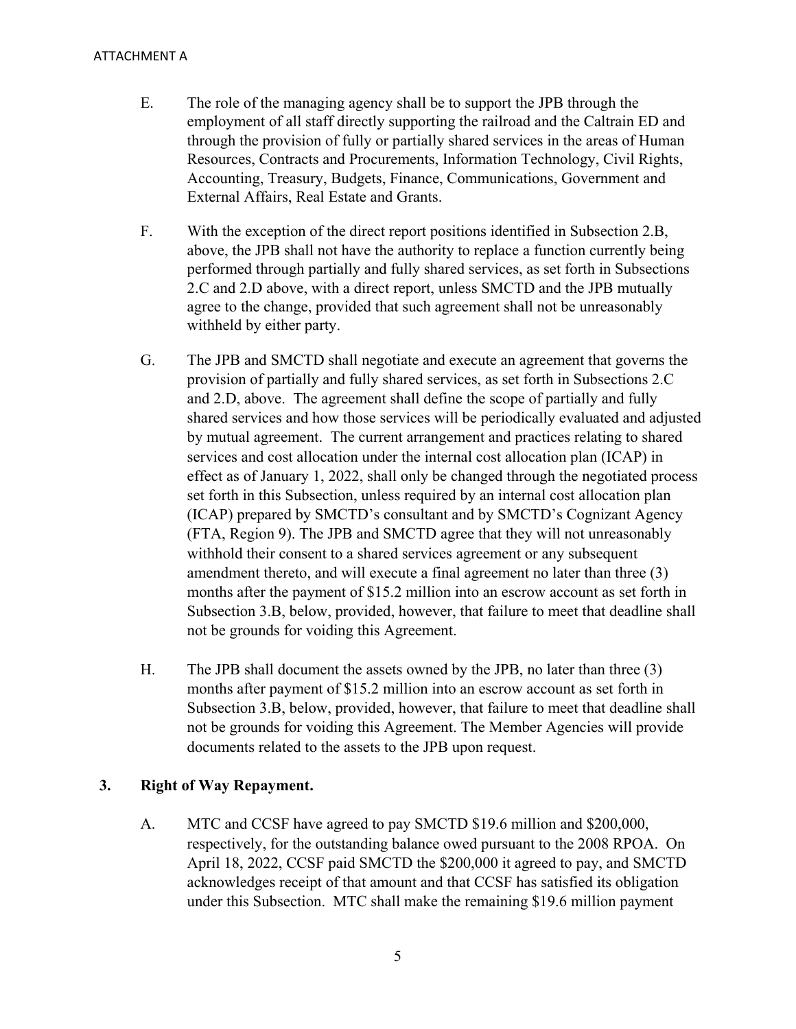#### ATTACHMENT A

- E. The role of the managing agency shall be to support the JPB through the employment of all staff directly supporting the railroad and the Caltrain ED and through the provision of fully or partially shared services in the areas of Human Resources, Contracts and Procurements, Information Technology, Civil Rights, Accounting, Treasury, Budgets, Finance, Communications, Government and External Affairs, Real Estate and Grants.
- F. With the exception of the direct report positions identified in Subsection 2.B, above, the JPB shall not have the authority to replace a function currently being performed through partially and fully shared services, as set forth in Subsections 2.C and 2.D above, with a direct report, unless SMCTD and the JPB mutually agree to the change, provided that such agreement shall not be unreasonably withheld by either party.
- G. The JPB and SMCTD shall negotiate and execute an agreement that governs the provision of partially and fully shared services, as set forth in Subsections 2.C and 2.D, above. The agreement shall define the scope of partially and fully shared services and how those services will be periodically evaluated and adjusted by mutual agreement. The current arrangement and practices relating to shared services and cost allocation under the internal cost allocation plan (ICAP) in effect as of January 1, 2022, shall only be changed through the negotiated process set forth in this Subsection, unless required by an internal cost allocation plan (ICAP) prepared by SMCTD's consultant and by SMCTD's Cognizant Agency (FTA, Region 9). The JPB and SMCTD agree that they will not unreasonably withhold their consent to a shared services agreement or any subsequent amendment thereto, and will execute a final agreement no later than three (3) months after the payment of \$15.2 million into an escrow account as set forth in Subsection 3.B, below, provided, however, that failure to meet that deadline shall not be grounds for voiding this Agreement.
- H. The JPB shall document the assets owned by the JPB, no later than three (3) months after payment of \$15.2 million into an escrow account as set forth in Subsection 3.B, below, provided, however, that failure to meet that deadline shall not be grounds for voiding this Agreement. The Member Agencies will provide documents related to the assets to the JPB upon request.

#### **3. Right of Way Repayment.**

A. MTC and CCSF have agreed to pay SMCTD \$19.6 million and \$200,000, respectively, for the outstanding balance owed pursuant to the 2008 RPOA. On April 18, 2022, CCSF paid SMCTD the \$200,000 it agreed to pay, and SMCTD acknowledges receipt of that amount and that CCSF has satisfied its obligation under this Subsection. MTC shall make the remaining \$19.6 million payment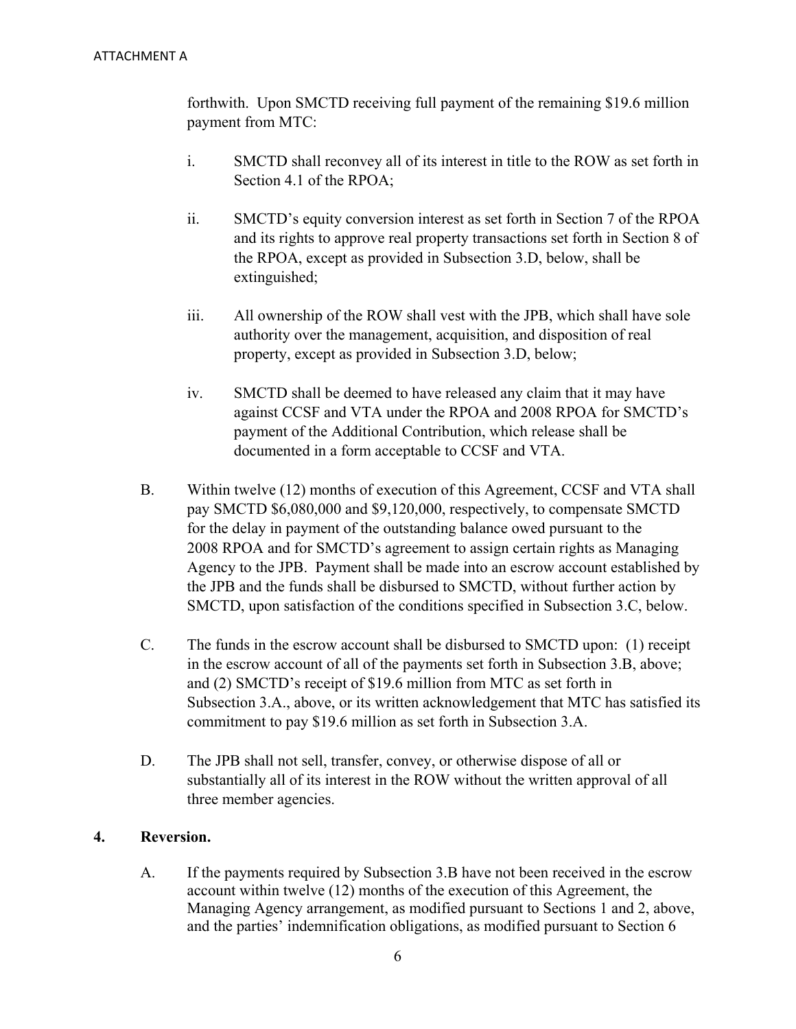forthwith. Upon SMCTD receiving full payment of the remaining \$19.6 million payment from MTC:

- i. SMCTD shall reconvey all of its interest in title to the ROW as set forth in Section 4.1 of the RPOA;
- ii. SMCTD's equity conversion interest as set forth in Section 7 of the RPOA and its rights to approve real property transactions set forth in Section 8 of the RPOA, except as provided in Subsection 3.D, below, shall be extinguished;
- iii. All ownership of the ROW shall vest with the JPB, which shall have sole authority over the management, acquisition, and disposition of real property, except as provided in Subsection 3.D, below;
- iv. SMCTD shall be deemed to have released any claim that it may have against CCSF and VTA under the RPOA and 2008 RPOA for SMCTD's payment of the Additional Contribution, which release shall be documented in a form acceptable to CCSF and VTA.
- B. Within twelve (12) months of execution of this Agreement, CCSF and VTA shall pay SMCTD \$6,080,000 and \$9,120,000, respectively, to compensate SMCTD for the delay in payment of the outstanding balance owed pursuant to the 2008 RPOA and for SMCTD's agreement to assign certain rights as Managing Agency to the JPB. Payment shall be made into an escrow account established by the JPB and the funds shall be disbursed to SMCTD, without further action by SMCTD, upon satisfaction of the conditions specified in Subsection 3.C, below.
- C. The funds in the escrow account shall be disbursed to SMCTD upon: (1) receipt in the escrow account of all of the payments set forth in Subsection 3.B, above; and (2) SMCTD's receipt of \$19.6 million from MTC as set forth in Subsection 3.A., above, or its written acknowledgement that MTC has satisfied its commitment to pay \$19.6 million as set forth in Subsection 3.A.
- D. The JPB shall not sell, transfer, convey, or otherwise dispose of all or substantially all of its interest in the ROW without the written approval of all three member agencies.

#### **4. Reversion.**

A. If the payments required by Subsection 3.B have not been received in the escrow account within twelve (12) months of the execution of this Agreement, the Managing Agency arrangement, as modified pursuant to Sections 1 and 2, above, and the parties' indemnification obligations, as modified pursuant to Section 6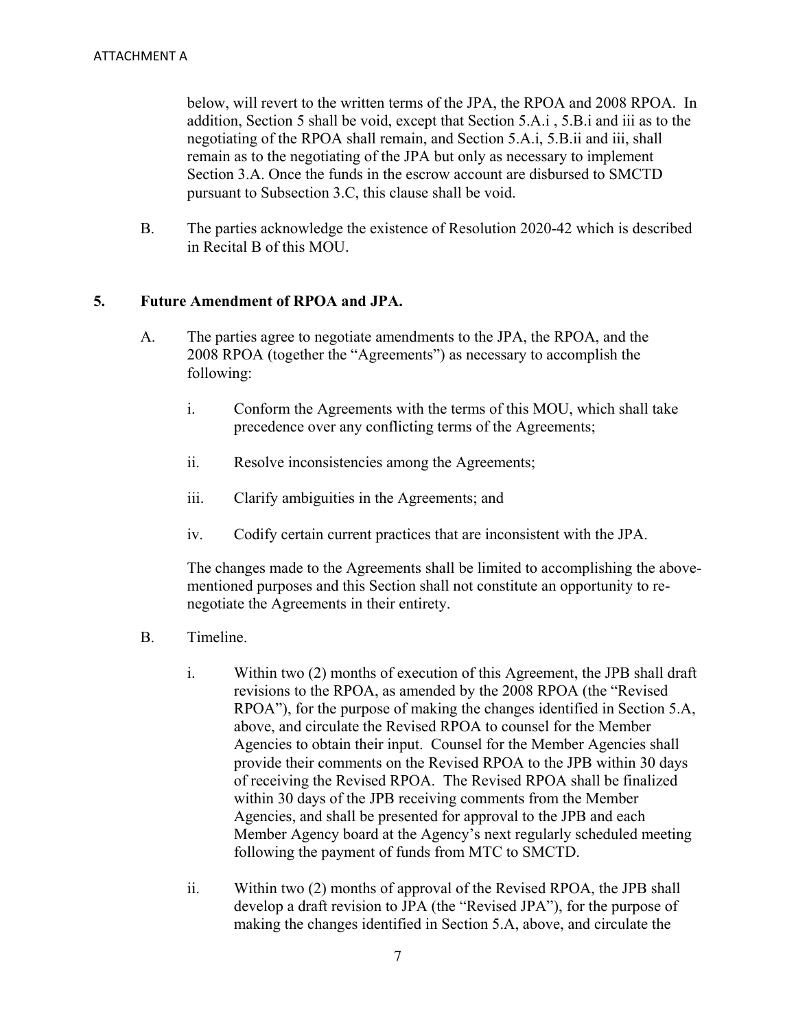below, will revert to the written terms of the JPA, the RPOA and 2008 RPOA. In addition, Section 5 shall be void, except that Section 5.A.i , 5.B.i and iii as to the negotiating of the RPOA shall remain, and Section 5.A.i, 5.B.ii and iii, shall remain as to the negotiating of the JPA but only as necessary to implement Section 3.A. Once the funds in the escrow account are disbursed to SMCTD pursuant to Subsection 3.C, this clause shall be void.

B. The parties acknowledge the existence of Resolution 2020-42 which is described in Recital B of this MOU.

#### **5. Future Amendment of RPOA and JPA.**

- A. The parties agree to negotiate amendments to the JPA, the RPOA, and the 2008 RPOA (together the "Agreements") as necessary to accomplish the following:
	- i. Conform the Agreements with the terms of this MOU, which shall take precedence over any conflicting terms of the Agreements;
	- ii. Resolve inconsistencies among the Agreements;
	- iii. Clarify ambiguities in the Agreements; and
	- iv. Codify certain current practices that are inconsistent with the JPA.

The changes made to the Agreements shall be limited to accomplishing the abovementioned purposes and this Section shall not constitute an opportunity to renegotiate the Agreements in their entirety.

- B. Timeline.
	- i. Within two (2) months of execution of this Agreement, the JPB shall draft revisions to the RPOA, as amended by the 2008 RPOA (the "Revised RPOA"), for the purpose of making the changes identified in Section 5.A, above, and circulate the Revised RPOA to counsel for the Member Agencies to obtain their input. Counsel for the Member Agencies shall provide their comments on the Revised RPOA to the JPB within 30 days of receiving the Revised RPOA. The Revised RPOA shall be finalized within 30 days of the JPB receiving comments from the Member Agencies, and shall be presented for approval to the JPB and each Member Agency board at the Agency's next regularly scheduled meeting following the payment of funds from MTC to SMCTD.
	- ii. Within two (2) months of approval of the Revised RPOA, the JPB shall develop a draft revision to JPA (the "Revised JPA"), for the purpose of making the changes identified in Section 5.A, above, and circulate the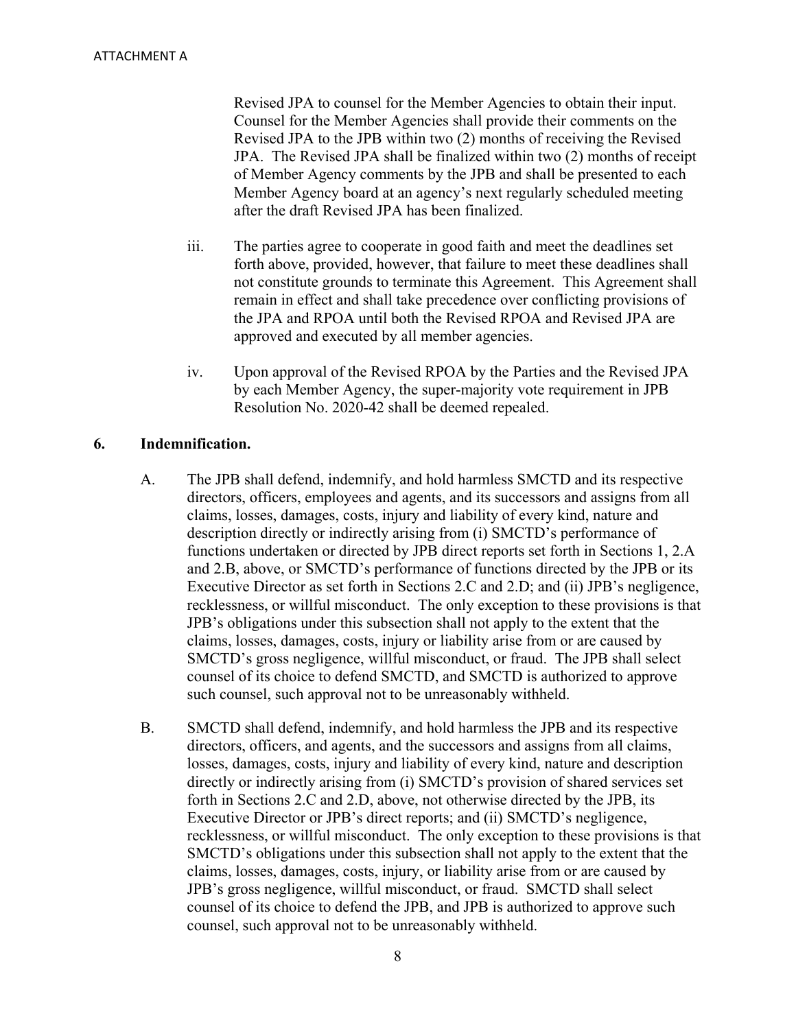Revised JPA to counsel for the Member Agencies to obtain their input. Counsel for the Member Agencies shall provide their comments on the Revised JPA to the JPB within two (2) months of receiving the Revised JPA. The Revised JPA shall be finalized within two (2) months of receipt of Member Agency comments by the JPB and shall be presented to each Member Agency board at an agency's next regularly scheduled meeting after the draft Revised JPA has been finalized.

- iii. The parties agree to cooperate in good faith and meet the deadlines set forth above, provided, however, that failure to meet these deadlines shall not constitute grounds to terminate this Agreement. This Agreement shall remain in effect and shall take precedence over conflicting provisions of the JPA and RPOA until both the Revised RPOA and Revised JPA are approved and executed by all member agencies.
- iv. Upon approval of the Revised RPOA by the Parties and the Revised JPA by each Member Agency, the super-majority vote requirement in JPB Resolution No. 2020-42 shall be deemed repealed.

#### **6. Indemnification.**

- A. The JPB shall defend, indemnify, and hold harmless SMCTD and its respective directors, officers, employees and agents, and its successors and assigns from all claims, losses, damages, costs, injury and liability of every kind, nature and description directly or indirectly arising from (i) SMCTD's performance of functions undertaken or directed by JPB direct reports set forth in Sections 1, 2.A and 2.B, above, or SMCTD's performance of functions directed by the JPB or its Executive Director as set forth in Sections 2.C and 2.D; and (ii) JPB's negligence, recklessness, or willful misconduct. The only exception to these provisions is that JPB's obligations under this subsection shall not apply to the extent that the claims, losses, damages, costs, injury or liability arise from or are caused by SMCTD's gross negligence, willful misconduct, or fraud. The JPB shall select counsel of its choice to defend SMCTD, and SMCTD is authorized to approve such counsel, such approval not to be unreasonably withheld.
- B. SMCTD shall defend, indemnify, and hold harmless the JPB and its respective directors, officers, and agents, and the successors and assigns from all claims, losses, damages, costs, injury and liability of every kind, nature and description directly or indirectly arising from (i) SMCTD's provision of shared services set forth in Sections 2.C and 2.D, above, not otherwise directed by the JPB, its Executive Director or JPB's direct reports; and (ii) SMCTD's negligence, recklessness, or willful misconduct. The only exception to these provisions is that SMCTD's obligations under this subsection shall not apply to the extent that the claims, losses, damages, costs, injury, or liability arise from or are caused by JPB's gross negligence, willful misconduct, or fraud. SMCTD shall select counsel of its choice to defend the JPB, and JPB is authorized to approve such counsel, such approval not to be unreasonably withheld.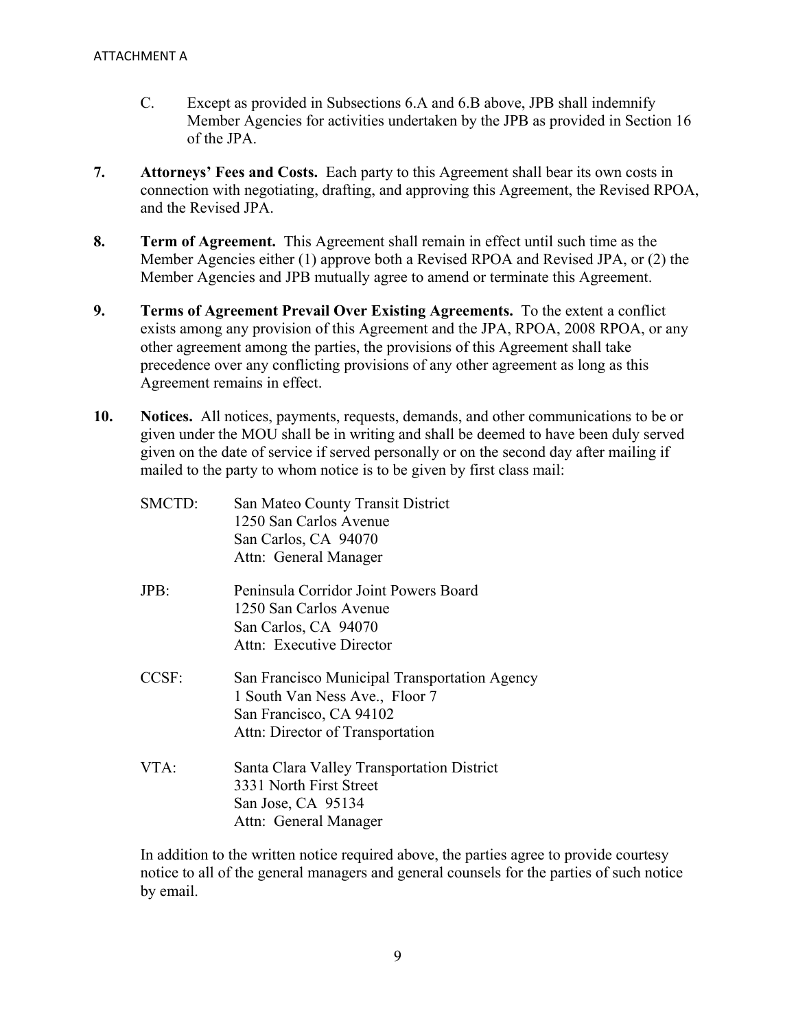- C. Except as provided in Subsections 6.A and 6.B above, JPB shall indemnify Member Agencies for activities undertaken by the JPB as provided in Section 16 of the JPA.
- **7. Attorneys' Fees and Costs.** Each party to this Agreement shall bear its own costs in connection with negotiating, drafting, and approving this Agreement, the Revised RPOA, and the Revised JPA.
- **8. Term of Agreement.** This Agreement shall remain in effect until such time as the Member Agencies either (1) approve both a Revised RPOA and Revised JPA, or (2) the Member Agencies and JPB mutually agree to amend or terminate this Agreement.
- **9. Terms of Agreement Prevail Over Existing Agreements.** To the extent a conflict exists among any provision of this Agreement and the JPA, RPOA, 2008 RPOA, or any other agreement among the parties, the provisions of this Agreement shall take precedence over any conflicting provisions of any other agreement as long as this Agreement remains in effect.
- **10. Notices.** All notices, payments, requests, demands, and other communications to be or given under the MOU shall be in writing and shall be deemed to have been duly served given on the date of service if served personally or on the second day after mailing if mailed to the party to whom notice is to be given by first class mail:

| SMCTD:  | San Mateo County Transit District             |
|---------|-----------------------------------------------|
|         | 1250 San Carlos Avenue                        |
|         | San Carlos, CA 94070                          |
|         | Attn: General Manager                         |
| $JPB$ : | Peninsula Corridor Joint Powers Board         |
|         | 1250 San Carlos Avenue                        |
|         | San Carlos, CA 94070                          |
|         | Attn: Executive Director                      |
| CCSF:   | San Francisco Municipal Transportation Agency |
|         | 1 South Van Ness Ave., Floor 7                |
|         | San Francisco, CA 94102                       |
|         | Attn: Director of Transportation              |
| VTA:    | Santa Clara Valley Transportation District    |
|         | 3331 North First Street                       |
|         | San Jose, CA 95134                            |
|         | Attn: General Manager                         |

In addition to the written notice required above, the parties agree to provide courtesy notice to all of the general managers and general counsels for the parties of such notice by email.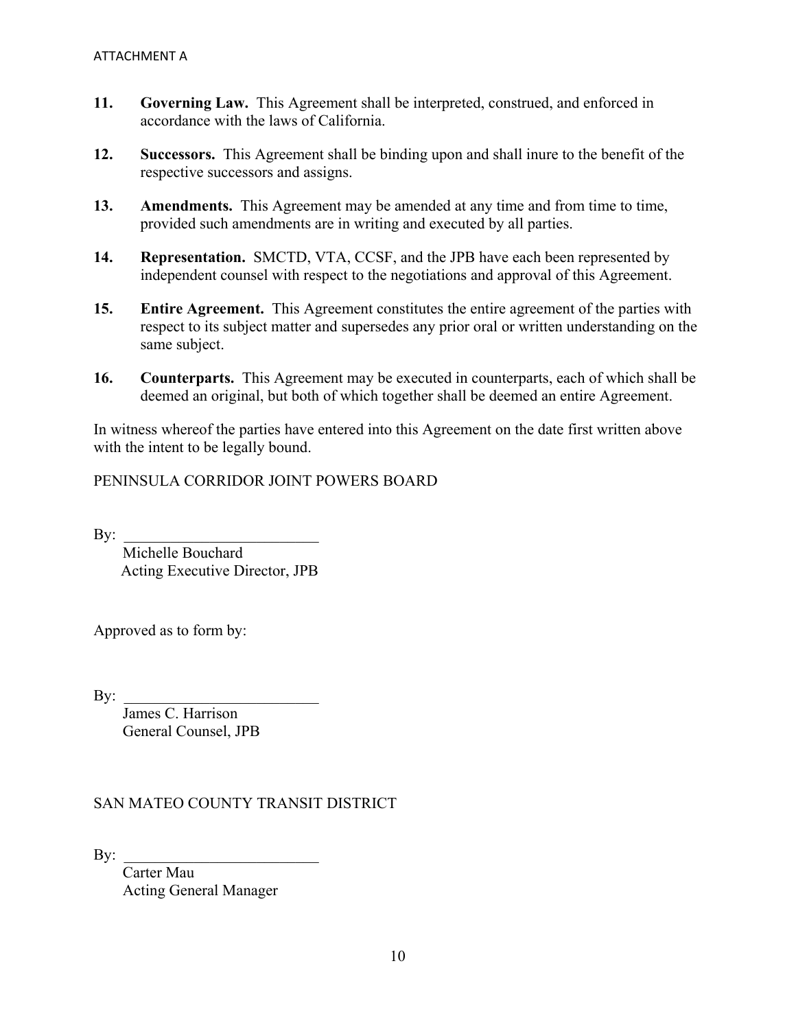- **11. Governing Law.** This Agreement shall be interpreted, construed, and enforced in accordance with the laws of California.
- **12. Successors.** This Agreement shall be binding upon and shall inure to the benefit of the respective successors and assigns.
- **13. Amendments.** This Agreement may be amended at any time and from time to time, provided such amendments are in writing and executed by all parties.
- **14. Representation.** SMCTD, VTA, CCSF, and the JPB have each been represented by independent counsel with respect to the negotiations and approval of this Agreement.
- **15. Entire Agreement.** This Agreement constitutes the entire agreement of the parties with respect to its subject matter and supersedes any prior oral or written understanding on the same subject.
- **16. Counterparts.** This Agreement may be executed in counterparts, each of which shall be deemed an original, but both of which together shall be deemed an entire Agreement.

In witness whereof the parties have entered into this Agreement on the date first written above with the intent to be legally bound.

PENINSULA CORRIDOR JOINT POWERS BOARD

 $\mathbf{By:}$ 

Michelle Bouchard Acting Executive Director, JPB

Approved as to form by:

By: \_\_\_\_\_\_\_\_\_\_\_\_\_\_\_\_\_\_\_\_\_\_\_\_\_

James C. Harrison General Counsel, JPB

#### SAN MATEO COUNTY TRANSIT DISTRICT

 $\mathbf{By:}$ 

Carter Mau Acting General Manager